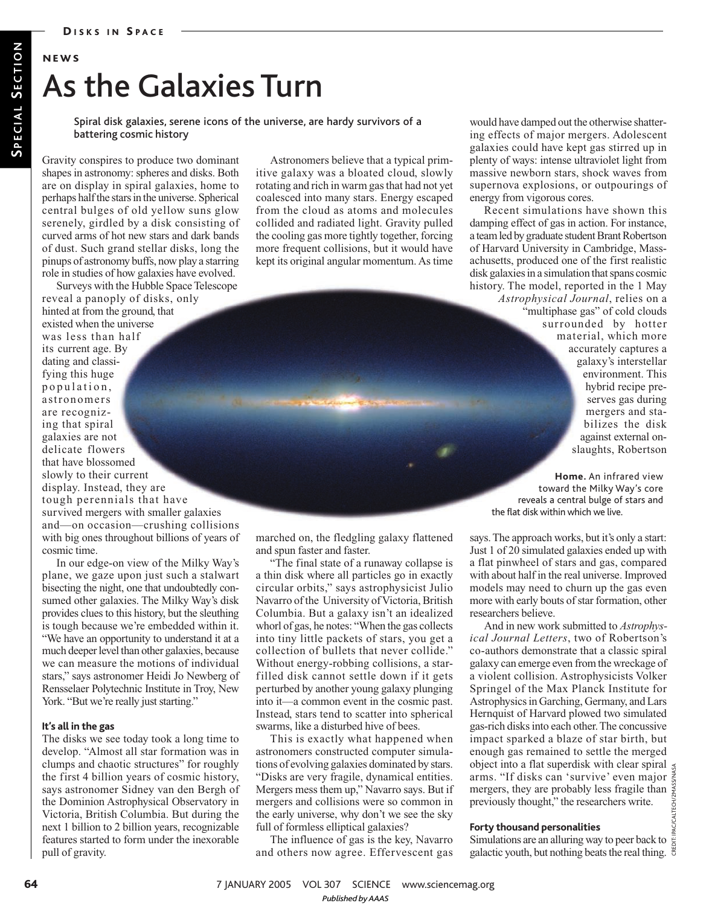# **NEWS** As the Galaxies Turn

Spiral disk galaxies, serene icons of the universe, are hardy survivors of a battering cosmic history

Gravity conspires to produce two dominant shapes in astronomy: spheres and disks. Both are on display in spiral galaxies, home to perhaps half the stars in the universe. Spherical central bulges of old yellow suns glow serenely, girdled by a disk consisting of curved arms of hot new stars and dark bands of dust. Such grand stellar disks, long the pinups of astronomy buffs, now play a starring role in studies of how galaxies have evolved.

Surveys with the Hubble Space Telescope reveal a panoply of disks, only hinted at from the ground, that existed when the universe was less than half its current age. By dating and classifying this huge population, astronomers are recognizing that spiral galaxies are not delicate flowers that have blossomed slowly to their current display. Instead, they are tough perennials that have survived mergers with smaller galaxies and—on occasion—crushing collisions with big ones throughout billions of years of cosmic time.

In our edge-on view of the Milky Way's plane, we gaze upon just such a stalwart bisecting the night, one that undoubtedly consumed other galaxies. The Milky Way's disk provides clues to this history, but the sleuthing is tough because we're embedded within it. "We have an opportunity to understand it at a much deeper level than other galaxies, because we can measure the motions of individual stars," says astronomer Heidi Jo Newberg of Rensselaer Polytechnic Institute in Troy, New York. "But we're really just starting."

#### **It's all in the gas**

The disks we see today took a long time to develop. "Almost all star formation was in clumps and chaotic structures" for roughly the first 4 billion years of cosmic history, says astronomer Sidney van den Bergh of the Dominion Astrophysical Observatory in Victoria, British Columbia. But during the next 1 billion to 2 billion years, recognizable features started to form under the inexorable pull of gravity.

Astronomers believe that a typical primitive galaxy was a bloated cloud, slowly rotating and rich in warm gas that had not yet coalesced into many stars. Energy escaped from the cloud as atoms and molecules collided and radiated light. Gravity pulled the cooling gas more tightly together, forcing more frequent collisions, but it would have kept its original angular momentum. As time

would have damped out the otherwise shattering effects of major mergers. Adolescent galaxies could have kept gas stirred up in plenty of ways: intense ultraviolet light from massive newborn stars, shock waves from supernova explosions, or outpourings of energy from vigorous cores.

Recent simulations have shown this damping effect of gas in action. For instance, a team led by graduate student Brant Robertson of Harvard University in Cambridge, Massachusetts, produced one of the first realistic disk galaxies in a simulation that spans cosmic history. The model, reported in the 1 May *Astrophysical Journal*, relies on a "multiphase gas" of cold clouds surrounded by hotter material, which more accurately captures a galaxy's interstellar environment. This hybrid recipe preserves gas during mergers and stabilizes the disk against external onslaughts, Robertson

> **Home.** An infrared view toward the Milky Way's core reveals a central bulge of stars and the flat disk within which we live.

says. The approach works, but it's only a start: Just 1 of 20 simulated galaxies ended up with a flat pinwheel of stars and gas, compared with about half in the real universe. Improved models may need to churn up the gas even more with early bouts of star formation, other researchers believe.

And in new work submitted to *Astrophysical Journal Letters*, two of Robertson's co-authors demonstrate that a classic spiral galaxy can emerge even from the wreckage of a violent collision. Astrophysicists Volker Springel of the Max Planck Institute for Astrophysics in Garching, Germany, and Lars Hernquist of Harvard plowed two simulated gas-rich disks into each other. The concussive impact sparked a blaze of star birth, but enough gas remained to settle the merged object into a flat superdisk with clear spiral  $\leq$ arms. "If disks can 'survive' even major mergers, they are probably less fragile than  $\frac{8}{5}$ previously thought," the researchers write.

### **Forty thousand personalities**

Simulations are an alluring way to peer back to  $\frac{1}{8}$ galactic youth, but nothing beats the real thing.

CREDIT: IPAC/CALTECH/2MASS/NASA

marched on, the fledgling galaxy flattened and spun faster and faster.

"The final state of a runaway collapse is a thin disk where all particles go in exactly circular orbits," says astrophysicist Julio Navarro of the University of Victoria, British Columbia. But a galaxy isn't an idealized whorl of gas, he notes: "When the gas collects into tiny little packets of stars, you get a collection of bullets that never collide." Without energy-robbing collisions, a starfilled disk cannot settle down if it gets perturbed by another young galaxy plunging into it—a common event in the cosmic past. Instead, stars tend to scatter into spherical swarms, like a disturbed hive of bees.

This is exactly what happened when astronomers constructed computer simulations of evolving galaxies dominated by stars. "Disks are very fragile, dynamical entities. Mergers mess them up," Navarro says. But if mergers and collisions were so common in the early universe, why don't we see the sky full of formless elliptical galaxies?

The influence of gas is the key, Navarro and others now agree. Effervescent gas

64 7 JANUARY 2005 VOL 307 SCIENCE www.sciencemag.org *Published byAAAS*